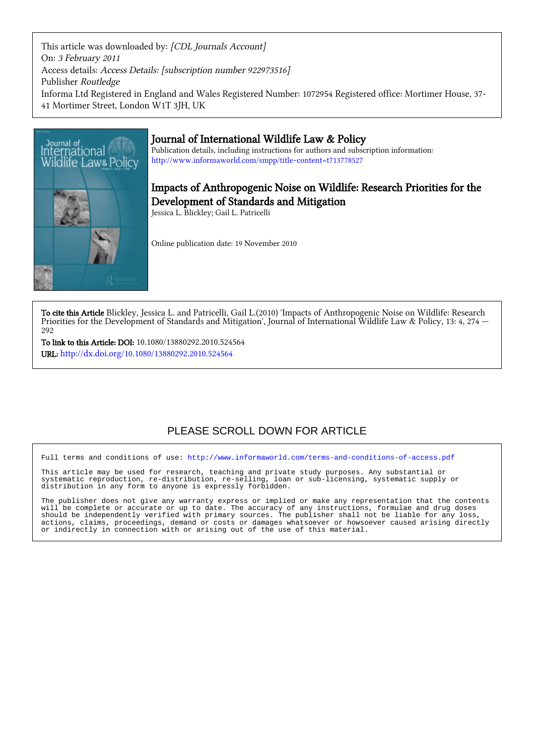This article was downloaded by: [CDL Journals Account] On: 3 February 2011 Access details: Access Details: [subscription number 922973516] Publisher Routledge Informa Ltd Registered in England and Wales Registered Number: 1072954 Registered office: Mortimer House, 37- 41 Mortimer Street, London W1T 3JH, UK



# Journal of International Wildlife Law & Policy

Publication details, including instructions for authors and subscription information: <http://www.informaworld.com/smpp/title~content=t713778527>

# Impacts of Anthropogenic Noise on Wildlife: Research Priorities for the Development of Standards and Mitigation

Jessica L. Blickley; Gail L. Patricelli

Online publication date: 19 November 2010

To cite this Article Blickley, Jessica L. and Patricelli, Gail L.(2010) 'Impacts of Anthropogenic Noise on Wildlife: Research Priorities for the Development of Standards and Mitigation', Journal of International Wildlife Law & Policy, 13: 4, 274  $-$ 292

To link to this Article: DOI: 10.1080/13880292.2010.524564 URL: <http://dx.doi.org/10.1080/13880292.2010.524564>

# PLEASE SCROLL DOWN FOR ARTICLE

Full terms and conditions of use:<http://www.informaworld.com/terms-and-conditions-of-access.pdf>

This article may be used for research, teaching and private study purposes. Any substantial or systematic reproduction, re-distribution, re-selling, loan or sub-licensing, systematic supply or distribution in any form to anyone is expressly forbidden.

The publisher does not give any warranty express or implied or make any representation that the contents will be complete or accurate or up to date. The accuracy of any instructions, formulae and drug doses should be independently verified with primary sources. The publisher shall not be liable for any loss, actions, claims, proceedings, demand or costs or damages whatsoever or howsoever caused arising directly or indirectly in connection with or arising out of the use of this material.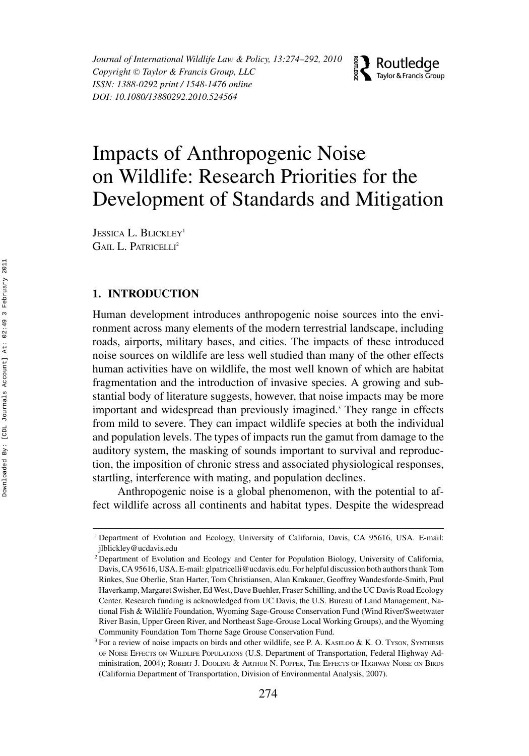*Journal of International Wildlife Law & Policy, 13:274–292, 2010 Copyright*  $\odot$  *Taylor & Francis Group, LLC ISSN: 1388-0292 print / 1548-1476 online DOI: 10.1080/13880292.2010.524564*



# Impacts of Anthropogenic Noise on Wildlife: Research Priorities for the Development of Standards and Mitigation

JESSICA L. BLICKLEY<sup>1</sup> GAIL L. PATRICELLI<sup>2</sup>

## **1. INTRODUCTION**

Human development introduces anthropogenic noise sources into the environment across many elements of the modern terrestrial landscape, including roads, airports, military bases, and cities. The impacts of these introduced noise sources on wildlife are less well studied than many of the other effects human activities have on wildlife, the most well known of which are habitat fragmentation and the introduction of invasive species. A growing and substantial body of literature suggests, however, that noise impacts may be more important and widespread than previously imagined.<sup>3</sup> They range in effects from mild to severe. They can impact wildlife species at both the individual and population levels. The types of impacts run the gamut from damage to the auditory system, the masking of sounds important to survival and reproduction, the imposition of chronic stress and associated physiological responses, startling, interference with mating, and population declines.

Anthropogenic noise is a global phenomenon, with the potential to affect wildlife across all continents and habitat types. Despite the widespread

<sup>1</sup> Department of Evolution and Ecology, University of California, Davis, CA 95616, USA. E-mail: jlblickley@ucdavis.edu

<sup>&</sup>lt;sup>2</sup> Department of Evolution and Ecology and Center for Population Biology, University of California, Davis, CA 95616, USA. E-mail: glpatricelli@ucdavis.edu. For helpful discussion both authors thank Tom Rinkes, Sue Oberlie, Stan Harter, Tom Christiansen, Alan Krakauer, Geoffrey Wandesforde-Smith, Paul Haverkamp, Margaret Swisher, Ed West, Dave Buehler, Fraser Schilling, and the UC Davis Road Ecology Center. Research funding is acknowledged from UC Davis, the U.S. Bureau of Land Management, National Fish & Wildlife Foundation, Wyoming Sage-Grouse Conservation Fund (Wind River/Sweetwater River Basin, Upper Green River, and Northeast Sage-Grouse Local Working Groups), and the Wyoming Community Foundation Tom Thorne Sage Grouse Conservation Fund.

<sup>&</sup>lt;sup>3</sup> For a review of noise impacts on birds and other wildlife, see P. A. KASELOO & K. O. TYSON, SYNTHESIS OF NOISE EFFECTS ON WILDLIFE POPULATIONS (U.S. Department of Transportation, Federal Highway Administration, 2004); ROBERT J. DOOLING & ARTHUR N. POPPER, THE EFFECTS OF HIGHWAY NOISE ON BIRDS (California Department of Transportation, Division of Environmental Analysis, 2007).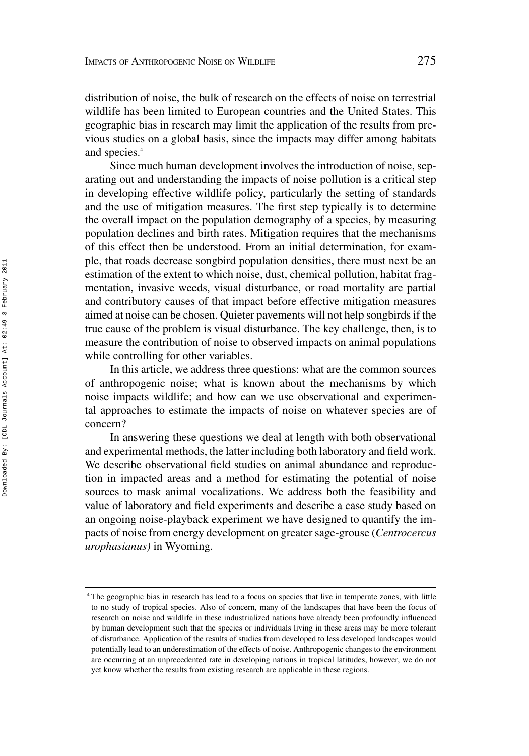distribution of noise, the bulk of research on the effects of noise on terrestrial wildlife has been limited to European countries and the United States. This geographic bias in research may limit the application of the results from previous studies on a global basis, since the impacts may differ among habitats and species.<sup>4</sup>

Since much human development involves the introduction of noise, separating out and understanding the impacts of noise pollution is a critical step in developing effective wildlife policy, particularly the setting of standards and the use of mitigation measures. The first step typically is to determine the overall impact on the population demography of a species, by measuring population declines and birth rates. Mitigation requires that the mechanisms of this effect then be understood. From an initial determination, for example, that roads decrease songbird population densities, there must next be an estimation of the extent to which noise, dust, chemical pollution, habitat fragmentation, invasive weeds, visual disturbance, or road mortality are partial and contributory causes of that impact before effective mitigation measures aimed at noise can be chosen. Quieter pavements will not help songbirds if the true cause of the problem is visual disturbance. The key challenge, then, is to measure the contribution of noise to observed impacts on animal populations while controlling for other variables.

In this article, we address three questions: what are the common sources of anthropogenic noise; what is known about the mechanisms by which noise impacts wildlife; and how can we use observational and experimental approaches to estimate the impacts of noise on whatever species are of concern?

In answering these questions we deal at length with both observational and experimental methods, the latter including both laboratory and field work. We describe observational field studies on animal abundance and reproduction in impacted areas and a method for estimating the potential of noise sources to mask animal vocalizations. We address both the feasibility and value of laboratory and field experiments and describe a case study based on an ongoing noise-playback experiment we have designed to quantify the impacts of noise from energy development on greater sage-grouse (*Centrocercus urophasianus)* in Wyoming.

<sup>4</sup> The geographic bias in research has lead to a focus on species that live in temperate zones, with little to no study of tropical species. Also of concern, many of the landscapes that have been the focus of research on noise and wildlife in these industrialized nations have already been profoundly influenced by human development such that the species or individuals living in these areas may be more tolerant of disturbance. Application of the results of studies from developed to less developed landscapes would potentially lead to an underestimation of the effects of noise. Anthropogenic changes to the environment are occurring at an unprecedented rate in developing nations in tropical latitudes, however, we do not yet know whether the results from existing research are applicable in these regions.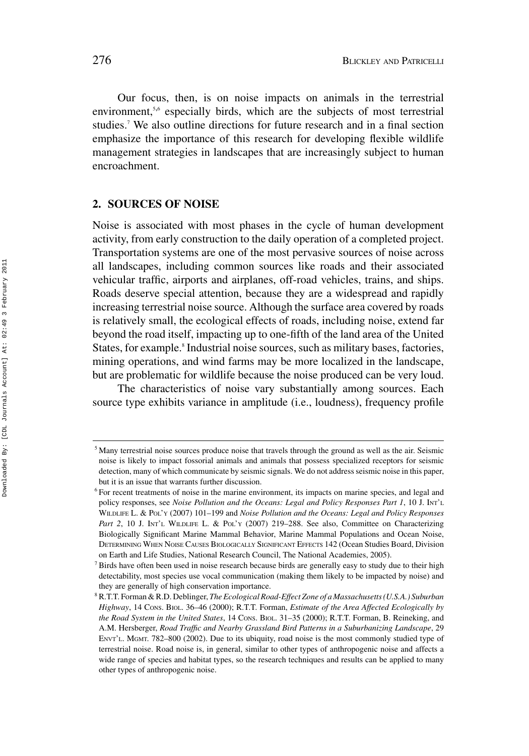Our focus, then, is on noise impacts on animals in the terrestrial environment,<sup>5,6</sup> especially birds, which are the subjects of most terrestrial studies.7 We also outline directions for future research and in a final section emphasize the importance of this research for developing flexible wildlife management strategies in landscapes that are increasingly subject to human encroachment.

#### **2. SOURCES OF NOISE**

Noise is associated with most phases in the cycle of human development activity, from early construction to the daily operation of a completed project. Transportation systems are one of the most pervasive sources of noise across all landscapes, including common sources like roads and their associated vehicular traffic, airports and airplanes, off-road vehicles, trains, and ships. Roads deserve special attention, because they are a widespread and rapidly increasing terrestrial noise source. Although the surface area covered by roads is relatively small, the ecological effects of roads, including noise, extend far beyond the road itself, impacting up to one-fifth of the land area of the United States, for example.<sup>8</sup> Industrial noise sources, such as military bases, factories, mining operations, and wind farms may be more localized in the landscape, but are problematic for wildlife because the noise produced can be very loud.

The characteristics of noise vary substantially among sources. Each source type exhibits variance in amplitude (i.e., loudness), frequency profile

<sup>5</sup> Many terrestrial noise sources produce noise that travels through the ground as well as the air. Seismic noise is likely to impact fossorial animals and animals that possess specialized receptors for seismic detection, many of which communicate by seismic signals. We do not address seismic noise in this paper, but it is an issue that warrants further discussion.

<sup>6</sup> For recent treatments of noise in the marine environment, its impacts on marine species, and legal and policy responses, see *Noise Pollution and the Oceans: Legal and Policy Responses Part 1*, 10 J. INT'L WILDLIFE L. & POL'Y (2007) 101–199 and *Noise Pollution and the Oceans: Legal and Policy Responses* Part 2, 10 J. INT'L WILDLIFE L. & Pol'y (2007) 219-288. See also, Committee on Characterizing Biologically Significant Marine Mammal Behavior, Marine Mammal Populations and Ocean Noise, DETERMINING WHEN NOISE CAUSES BIOLOGICALLY SIGNIFICANT EFFECTS 142 (Ocean Studies Board, Division on Earth and Life Studies, National Research Council, The National Academies, 2005).

 $<sup>7</sup>$  Birds have often been used in noise research because birds are generally easy to study due to their high</sup> detectability, most species use vocal communication (making them likely to be impacted by noise) and they are generally of high conservation importance.

<sup>8</sup> R.T.T. Forman & R.D. Deblinger, *The Ecological Road-Effect Zone of a Massachusetts (U.S.A.) Suburban Highway*, 14 CONS. BIOL. 36–46 (2000); R.T.T. Forman, *Estimate of the Area Affected Ecologically by the Road System in the United States*, 14 CONS. BIOL. 31–35 (2000); R.T.T. Forman, B. Reineking, and A.M. Hersberger, *Road Traffic and Nearby Grassland Bird Patterns in a Suburbanizing Landscape*, 29 ENVT'L. MGMT. 782–800 (2002). Due to its ubiquity, road noise is the most commonly studied type of terrestrial noise. Road noise is, in general, similar to other types of anthropogenic noise and affects a wide range of species and habitat types, so the research techniques and results can be applied to many other types of anthropogenic noise.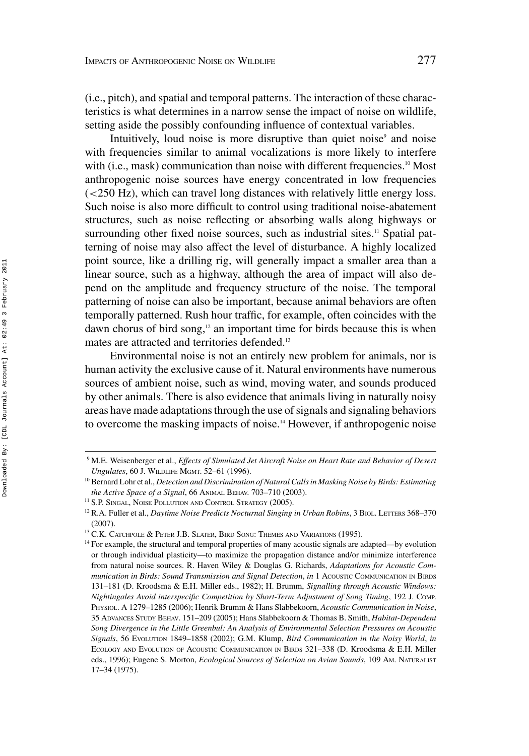(i.e., pitch), and spatial and temporal patterns. The interaction of these characteristics is what determines in a narrow sense the impact of noise on wildlife, setting aside the possibly confounding influence of contextual variables.

Intuitively, loud noise is more disruptive than quiet noise<sup>9</sup> and noise with frequencies similar to animal vocalizations is more likely to interfere with (i.e., mask) communication than noise with different frequencies.<sup>10</sup> Most anthropogenic noise sources have energy concentrated in low frequencies (*<*250 Hz), which can travel long distances with relatively little energy loss. Such noise is also more difficult to control using traditional noise-abatement structures, such as noise reflecting or absorbing walls along highways or surrounding other fixed noise sources, such as industrial sites.<sup>11</sup> Spatial patterning of noise may also affect the level of disturbance. A highly localized point source, like a drilling rig, will generally impact a smaller area than a linear source, such as a highway, although the area of impact will also depend on the amplitude and frequency structure of the noise. The temporal patterning of noise can also be important, because animal behaviors are often temporally patterned. Rush hour traffic, for example, often coincides with the dawn chorus of bird song, $12$  an important time for birds because this is when mates are attracted and territories defended.<sup>13</sup>

Environmental noise is not an entirely new problem for animals, nor is human activity the exclusive cause of it. Natural environments have numerous sources of ambient noise, such as wind, moving water, and sounds produced by other animals. There is also evidence that animals living in naturally noisy areas have made adaptations through the use of signals and signaling behaviors to overcome the masking impacts of noise.<sup>14</sup> However, if anthropogenic noise

<sup>9</sup> M.E. Weisenberger et al., *Effects of Simulated Jet Aircraft Noise on Heart Rate and Behavior of Desert Ungulates*, 60 J. WILDLIFE MGMT. 52–61 (1996).

<sup>10</sup> Bernard Lohr et al., *Detection and Discrimination of Natural Calls in Masking Noise by Birds: Estimating the Active Space of a Signal*, 66 ANIMAL BEHAV. 703–710 (2003).

<sup>&</sup>lt;sup>11</sup> S.P. SINGAL, NOISE POLLUTION AND CONTROL STRATEGY (2005).

<sup>&</sup>lt;sup>12</sup> R.A. Fuller et al., *Daytime Noise Predicts Nocturnal Singing in Urban Robins*, 3 BIOL. LETTERS 368-370 (2007).

 $^{13}$  C.K. Catchpole & Peter J.B. Slater, Bird Song: Themes and Variations (1995).

<sup>&</sup>lt;sup>14</sup> For example, the structural and temporal properties of many acoustic signals are adapted—by evolution or through individual plasticity—to maximize the propagation distance and/or minimize interference from natural noise sources. R. Haven Wiley & Douglas G. Richards, *Adaptations for Acoustic Communication in Birds: Sound Transmission and Signal Detection*, *in* 1 ACOUSTIC COMMUNICATION IN BIRDS 131–181 (D. Kroodsma & E.H. Miller eds., 1982); H. Brumm, *Signalling through Acoustic Windows: Nightingales Avoid interspecific Competition by Short-Term Adjustment of Song Timing*, 192 J. COMP. PHYSIOL. A 1279–1285 (2006); Henrik Brumm & Hans Slabbekoorn, *Acoustic Communication in Noise*, 35 ADVANCES STUDY BEHAV. 151–209 (2005); Hans Slabbekoorn & Thomas B. Smith, *Habitat-Dependent Song Divergence in the Little Greenbul: An Analysis of Environmental Selection Pressures on Acoustic Signals*, 56 EVOLUTION 1849–1858 (2002); G.M. Klump, *Bird Communication in the Noisy World*, *in* ECOLOGY AND EVOLUTION OF ACOUSTIC COMMUNICATION IN BIRDS 321–338 (D. Kroodsma & E.H. Miller eds., 1996); Eugene S. Morton, *Ecological Sources of Selection on Avian Sounds*, 109 AM. NATURALIST 17–34 (1975).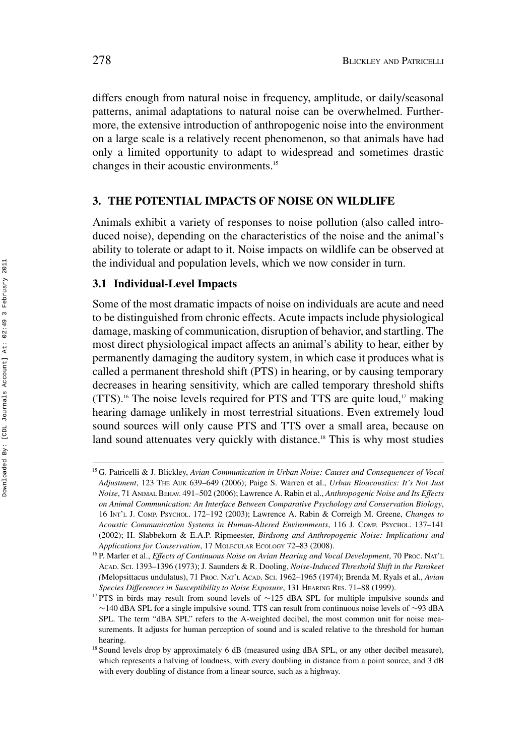differs enough from natural noise in frequency, amplitude, or daily/seasonal patterns, animal adaptations to natural noise can be overwhelmed. Furthermore, the extensive introduction of anthropogenic noise into the environment on a large scale is a relatively recent phenomenon, so that animals have had only a limited opportunity to adapt to widespread and sometimes drastic changes in their acoustic environments.15

# **3. THE POTENTIAL IMPACTS OF NOISE ON WILDLIFE**

Animals exhibit a variety of responses to noise pollution (also called introduced noise), depending on the characteristics of the noise and the animal's ability to tolerate or adapt to it. Noise impacts on wildlife can be observed at the individual and population levels, which we now consider in turn.

# **3.1 Individual-Level Impacts**

Some of the most dramatic impacts of noise on individuals are acute and need to be distinguished from chronic effects. Acute impacts include physiological damage, masking of communication, disruption of behavior, and startling. The most direct physiological impact affects an animal's ability to hear, either by permanently damaging the auditory system, in which case it produces what is called a permanent threshold shift (PTS) in hearing, or by causing temporary decreases in hearing sensitivity, which are called temporary threshold shifts (TTS).<sup>16</sup> The noise levels required for PTS and TTS are quite loud,<sup>17</sup> making hearing damage unlikely in most terrestrial situations. Even extremely loud sound sources will only cause PTS and TTS over a small area, because on land sound attenuates very quickly with distance.<sup>18</sup> This is why most studies

<sup>15</sup> G. Patricelli & J. Blickley, *Avian Communication in Urban Noise: Causes and Consequences of Vocal Adjustment*, 123 THE AUK 639–649 (2006); Paige S. Warren et al., *Urban Bioacoustics: It's Not Just Noise*, 71 ANIMAL BEHAV. 491–502 (2006); Lawrence A. Rabin et al., *Anthropogenic Noise and Its Effects on Animal Communication: An Interface Between Comparative Psychology and Conservation Biology*, 16 INT'L J. COMP. PSYCHOL. 172–192 (2003); Lawrence A. Rabin & Correigh M. Greene, *Changes to Acoustic Communication Systems in Human-Altered Environments*, 116 J. COMP. PSYCHOL. 137–141 (2002); H. Slabbekorn & E.A.P. Ripmeester, *Birdsong and Anthropogenic Noise: Implications and Applications for Conservation*, 17 MOLECULAR ECOLOGY 72–83 (2008).

<sup>&</sup>lt;sup>16</sup> P. Marler et al., *Effects of Continuous Noise on Avian Hearing and Vocal Development*, 70 Proc. NAT'L ACAD. SCI. 1393–1396 (1973); J. Saunders & R. Dooling, *Noise-Induced Threshold Shift in the Parakeet (*Melopsittacus undulatus), 71 PROC. NAT'L ACAD. SCI. 1962–1965 (1974); Brenda M. Ryals et al., *Avian Species Differences in Susceptibility to Noise Exposure*, 131 HEARING RES. 71–88 (1999).

<sup>17</sup> PTS in birds may result from sound levels of ∼125 dBA SPL for multiple impulsive sounds and ∼140 dBA SPL for a single impulsive sound. TTS can result from continuous noise levels of ∼93 dBA SPL. The term "dBA SPL" refers to the A-weighted decibel, the most common unit for noise measurements. It adjusts for human perception of sound and is scaled relative to the threshold for human hearing.

<sup>&</sup>lt;sup>18</sup> Sound levels drop by approximately 6 dB (measured using dBA SPL, or any other decibel measure), which represents a halving of loudness, with every doubling in distance from a point source, and 3 dB with every doubling of distance from a linear source, such as a highway.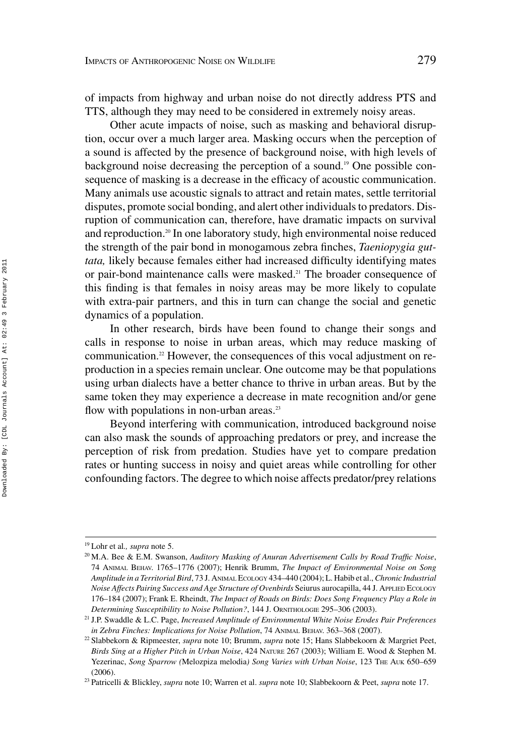of impacts from highway and urban noise do not directly address PTS and TTS, although they may need to be considered in extremely noisy areas.

Other acute impacts of noise, such as masking and behavioral disruption, occur over a much larger area. Masking occurs when the perception of a sound is affected by the presence of background noise, with high levels of background noise decreasing the perception of a sound.19 One possible consequence of masking is a decrease in the efficacy of acoustic communication. Many animals use acoustic signals to attract and retain mates, settle territorial disputes, promote social bonding, and alert other individuals to predators. Disruption of communication can, therefore, have dramatic impacts on survival and reproduction.<sup>20</sup> In one laboratory study, high environmental noise reduced the strength of the pair bond in monogamous zebra finches, *Taeniopygia guttata,* likely because females either had increased difficulty identifying mates or pair-bond maintenance calls were masked.<sup>21</sup> The broader consequence of this finding is that females in noisy areas may be more likely to copulate with extra-pair partners, and this in turn can change the social and genetic dynamics of a population.

In other research, birds have been found to change their songs and calls in response to noise in urban areas, which may reduce masking of communication.<sup>22</sup> However, the consequences of this vocal adjustment on reproduction in a species remain unclear. One outcome may be that populations using urban dialects have a better chance to thrive in urban areas. But by the same token they may experience a decrease in mate recognition and/or gene flow with populations in non-urban areas. $23$ 

Beyond interfering with communication, introduced background noise can also mask the sounds of approaching predators or prey, and increase the perception of risk from predation. Studies have yet to compare predation rates or hunting success in noisy and quiet areas while controlling for other confounding factors. The degree to which noise affects predator/prey relations

<sup>19</sup> Lohr et al*., supra* note 5.

<sup>20</sup> M.A. Bee & E.M. Swanson, *Auditory Masking of Anuran Advertisement Calls by Road Traffic Noise*, 74 ANIMAL BEHAV. 1765–1776 (2007); Henrik Brumm, *The Impact of Environmental Noise on Song Amplitude in a Territorial Bird*, 73 J. ANIMAL ECOLOGY 434–440 (2004); L. Habib et al.,*Chronic Industrial Noise Affects Pairing Success and Age Structure of Ovenbirds* Seiurus aurocapilla, 44 J. APPLIED ECOLOGY 176–184 (2007); Frank E. Rheindt, *The Impact of Roads on Birds: Does Song Frequency Play a Role in Determining Susceptibility to Noise Pollution?*, 144 J. ORNITHOLOGIE 295–306 (2003).

<sup>21</sup> J.P. Swaddle & L.C. Page, *Increased Amplitude of Environmental White Noise Erodes Pair Preferences in Zebra Finches: Implications for Noise Pollution*, 74 ANIMAL BEHAV. 363–368 (2007).

<sup>22</sup> Slabbekorn & Ripmeester, *supra* note 10; Brumm, *supra* note 15; Hans Slabbekoorn & Margriet Peet, *Birds Sing at a Higher Pitch in Urban Noise*, 424 NATURE 267 (2003); William E. Wood & Stephen M. Yezerinac, *Song Sparrow (Melozpiza melodia) Song Varies with Urban Noise*, 123 THE AUK 650-659 (2006).

<sup>23</sup> Patricelli & Blickley, *supra* note 10; Warren et al. *supra* note 10; Slabbekoorn & Peet, *supra* note 17.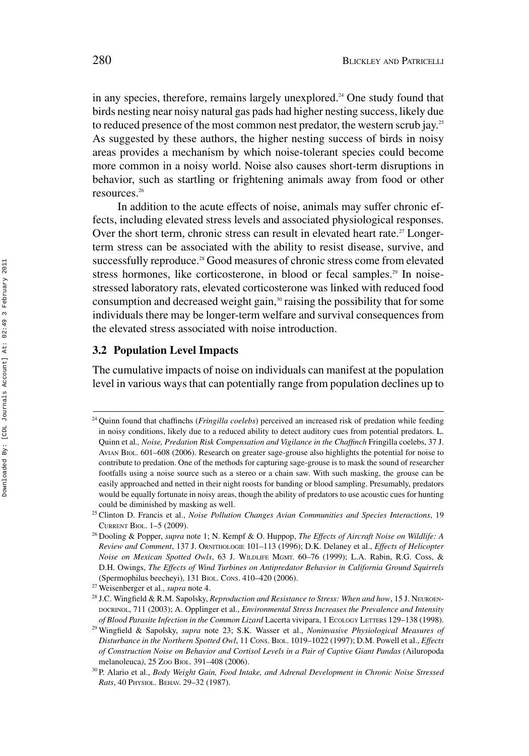in any species, therefore, remains largely unexplored.<sup>24</sup> One study found that birds nesting near noisy natural gas pads had higher nesting success, likely due to reduced presence of the most common nest predator, the western scrub jay.<sup>25</sup> As suggested by these authors, the higher nesting success of birds in noisy areas provides a mechanism by which noise-tolerant species could become more common in a noisy world. Noise also causes short-term disruptions in behavior, such as startling or frightening animals away from food or other resources.26

In addition to the acute effects of noise, animals may suffer chronic effects, including elevated stress levels and associated physiological responses. Over the short term, chronic stress can result in elevated heart rate.<sup>27</sup> Longerterm stress can be associated with the ability to resist disease, survive, and successfully reproduce.<sup>28</sup> Good measures of chronic stress come from elevated stress hormones, like corticosterone, in blood or fecal samples.<sup>29</sup> In noisestressed laboratory rats, elevated corticosterone was linked with reduced food consumption and decreased weight gain,<sup>30</sup> raising the possibility that for some individuals there may be longer-term welfare and survival consequences from the elevated stress associated with noise introduction.

# **3.2 Population Level Impacts**

The cumulative impacts of noise on individuals can manifest at the population level in various ways that can potentially range from population declines up to

<sup>24</sup> Quinn found that chaffinchs (*Fringilla coelebs*) perceived an increased risk of predation while feeding in noisy conditions, likely due to a reduced ability to detect auditory cues from potential predators. L. Quinn et al*., Noise, Predation Risk Compensation and Vigilance in the Chaffinch* Fringilla coelebs, 37 J. AVIAN BIOL. 601–608 (2006). Research on greater sage-grouse also highlights the potential for noise to contribute to predation. One of the methods for capturing sage-grouse is to mask the sound of researcher footfalls using a noise source such as a stereo or a chain saw. With such masking, the grouse can be easily approached and netted in their night roosts for banding or blood sampling. Presumably, predators would be equally fortunate in noisy areas, though the ability of predators to use acoustic cues for hunting could be diminished by masking as well.

<sup>25</sup> Clinton D. Francis et al., *Noise Pollution Changes Avian Communities and Species Interactions*, 19 CURRENT BIOL. 1–5 (2009).

<sup>26</sup> Dooling & Popper, *supra* note 1; N. Kempf & O. Huppop, *The Effects of Aircraft Noise on Wildlife: A Review and Comment*, 137 J. ORNITHOLOGIE 101–113 (1996); D.K. Delaney et al., *Effects of Helicopter Noise on Mexican Spotted Owls*, 63 J. WILDLIFE MGMT. 60–76 (1999); L.A. Rabin, R.G. Coss, & D.H. Owings, *The Effects of Wind Turbines on Antipredator Behavior in California Ground Squirrels* (Spermophilus beecheyi), 131 BIOL. CONS. 410–420 (2006).

<sup>27</sup> Weisenberger et al., *supra* note 4.

<sup>28</sup> J.C. Wingfield & R.M. Sapolsky, *Reproduction and Resistance to Stress: When and how*, 15 J. NEUROEN-DOCRINOL, 711 (2003); A. Opplinger et al., *Environmental Stress Increases the Prevalence and Intensity of Blood Parasite Infection in the Common Lizard* Lacerta vivipara, 1 ECOLOGY LETTERS 129–138 (1998).

<sup>29</sup> Wingfield & Sapolsky, *supra* note 23; S.K. Wasser et al., *Noninvasive Physiological Measures of Disturbance in the Northern Spotted Owl*, 11 CONS. BIOL. 1019–1022 (1997); D.M. Powell et al., *Effects of Construction Noise on Behavior and Cortisol Levels in a Pair of Captive Giant Pandas (*Ailuropoda melanoleuca*)*, 25 ZOO BIOL. 391–408 (2006).

<sup>30</sup> P. Alario et al., *Body Weight Gain, Food Intake, and Adrenal Development in Chronic Noise Stressed Rats*, 40 PHYSIOL. BEHAV. 29–32 (1987).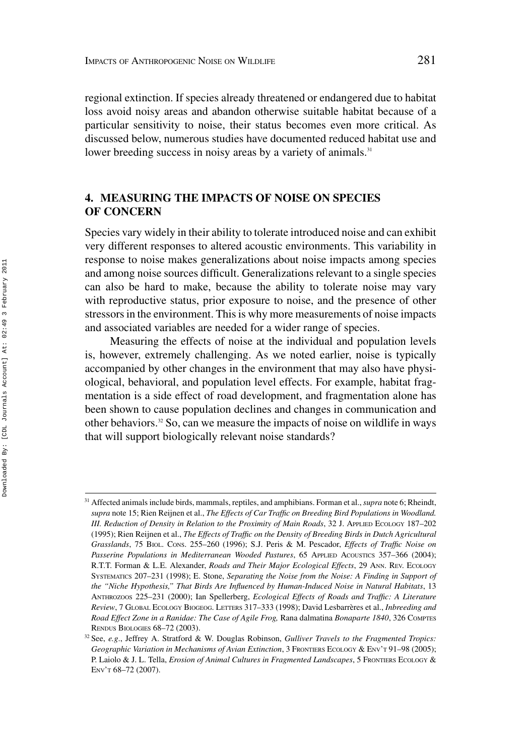regional extinction. If species already threatened or endangered due to habitat loss avoid noisy areas and abandon otherwise suitable habitat because of a particular sensitivity to noise, their status becomes even more critical. As discussed below, numerous studies have documented reduced habitat use and lower breeding success in noisy areas by a variety of animals.<sup>31</sup>

# **4. MEASURING THE IMPACTS OF NOISE ON SPECIES OF CONCERN**

Species vary widely in their ability to tolerate introduced noise and can exhibit very different responses to altered acoustic environments. This variability in response to noise makes generalizations about noise impacts among species and among noise sources difficult. Generalizations relevant to a single species can also be hard to make, because the ability to tolerate noise may vary with reproductive status, prior exposure to noise, and the presence of other stressors in the environment. This is why more measurements of noise impacts and associated variables are needed for a wider range of species.

Measuring the effects of noise at the individual and population levels is, however, extremely challenging. As we noted earlier, noise is typically accompanied by other changes in the environment that may also have physiological, behavioral, and population level effects. For example, habitat fragmentation is a side effect of road development, and fragmentation alone has been shown to cause population declines and changes in communication and other behaviors.32 So, can we measure the impacts of noise on wildlife in ways that will support biologically relevant noise standards?

<sup>31</sup> Affected animals include birds, mammals, reptiles, and amphibians. Forman et al.,*supra* note 6; Rheindt, *supra* note 15; Rien Reijnen et al., *The Effects of Car Traffic on Breeding Bird Populations in Woodland. III. Reduction of Density in Relation to the Proximity of Main Roads*, 32 J. APPLIED ECOLOGY 187–202 (1995); Rien Reijnen et al., *The Effects of Traffic on the Density of Breeding Birds in Dutch Agricultural Grasslands*, 75 BIOL. CONS. 255–260 (1996); S.J. Peris & M. Pescador, *Effects of Traffic Noise on Passerine Populations in Mediterranean Wooded Pastures*, 65 APPLIED ACOUSTICS 357–366 (2004); R.T.T. Forman & L.E. Alexander, *Roads and Their Major Ecological Effects*, 29 ANN. REV. ECOLOGY SYSTEMATICS 207–231 (1998); E. Stone, *Separating the Noise from the Noise: A Finding in Support of the "Niche Hypothesis," That Birds Are Influenced by Human-Induced Noise in Natural Habitats*, 13 ANTHROZOOS 225–231 (2000); Ian Spellerberg, *Ecological Effects of Roads and Traffic: A Literature Review*,7GLOBAL ECOLOGY BIOGEOG. LETTERS 317–333 (1998); David Lesbarreres et al., ` *Inbreeding and Road Effect Zone in a Ranidae: The Case of Agile Frog,* Rana dalmatina *Bonaparte 1840*, 326 COMPTES RENDUS BIOLOGIES 68–72 (2003).

<sup>32</sup> See, *e.g*., Jeffrey A. Stratford & W. Douglas Robinson, *Gulliver Travels to the Fragmented Tropics: Geographic Variation in Mechanisms of Avian Extinction*, 3 FRONTIERS ECOLOGY & ENV'T 91–98 (2005); P. Laiolo & J. L. Tella, *Erosion of Animal Cultures in Fragmented Landscapes*, 5 FRONTIERS ECOLOGY & ENV'T 68–72 (2007).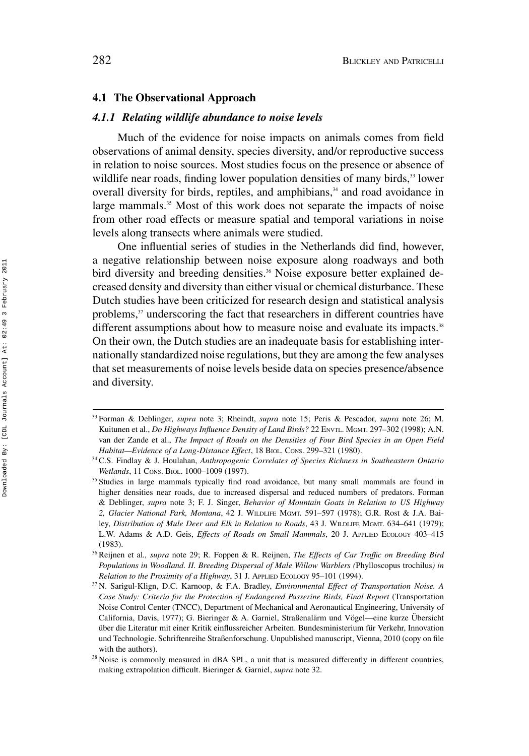#### **4.1 The Observational Approach**

#### *4.1.1 Relating wildlife abundance to noise levels*

Much of the evidence for noise impacts on animals comes from field observations of animal density, species diversity, and/or reproductive success in relation to noise sources. Most studies focus on the presence or absence of wildlife near roads, finding lower population densities of many birds,<sup>33</sup> lower overall diversity for birds, reptiles, and amphibians,<sup>34</sup> and road avoidance in large mammals.<sup>35</sup> Most of this work does not separate the impacts of noise from other road effects or measure spatial and temporal variations in noise levels along transects where animals were studied.

One influential series of studies in the Netherlands did find, however, a negative relationship between noise exposure along roadways and both bird diversity and breeding densities.<sup>36</sup> Noise exposure better explained decreased density and diversity than either visual or chemical disturbance. These Dutch studies have been criticized for research design and statistical analysis problems,<sup>37</sup> underscoring the fact that researchers in different countries have different assumptions about how to measure noise and evaluate its impacts.<sup>38</sup> On their own, the Dutch studies are an inadequate basis for establishing internationally standardized noise regulations, but they are among the few analyses that set measurements of noise levels beside data on species presence/absence and diversity.

<sup>33</sup> Forman & Deblinger, *supra* note 3; Rheindt, *supra* note 15; Peris & Pescador, *supra* note 26; M. Kuitunen et al., *Do Highways Influence Density of Land Birds*? 22 ENVTL. MGMT. 297-302 (1998); A.N. van der Zande et al., *The Impact of Roads on the Densities of Four Bird Species in an Open Field Habitat—Evidence of a Long-Distance Effect*, 18 BIOL. CONS. 299–321 (1980).

<sup>34</sup> C.S. Findlay & J. Houlahan, *Anthropogenic Correlates of Species Richness in Southeastern Ontario Wetlands*, 11 CONS. BIOL. 1000–1009 (1997).

<sup>&</sup>lt;sup>35</sup> Studies in large mammals typically find road avoidance, but many small mammals are found in higher densities near roads, due to increased dispersal and reduced numbers of predators. Forman & Deblinger, *supra* note 3; F. J. Singer, *Behavior of Mountain Goats in Relation to US Highway 2, Glacier National Park, Montana*, 42 J. WILDLIFE MGMT. 591–597 (1978); G.R. Rost & J.A. Bailey, *Distribution of Mule Deer and Elk in Relation to Roads*, 43 J. WILDLIFE MGMT. 634–641 (1979); L.W. Adams & A.D. Geis, *Effects of Roads on Small Mammals*, 20 J. APPLIED ECOLOGY 403–415 (1983).

<sup>36</sup> Reijnen et al*., supra* note 29; R. Foppen & R. Reijnen, *The Effects of Car Traffic on Breeding Bird Populations in Woodland. II. Breeding Dispersal of Male Willow Warblers (*Phylloscopus trochilus*) in Relation to the Proximity of a Highway*, 31 J. APPLIED ECOLOGY 95–101 (1994).

<sup>37</sup> N. Sarigul-Klign, D.C. Karnoop, & F.A. Bradley, *Environmental Effect of Transportation Noise. A Case Study: Criteria for the Protection of Endangered Passerine Birds, Final Report* (Transportation Noise Control Center (TNCC), Department of Mechanical and Aeronautical Engineering, University of California, Davis, 1977); G. Bieringer & A. Garniel, Straßenalärm und Vögel—eine kurze Übersicht über die Literatur mit einer Kritik einflussreicher Arbeiten. Bundesministerium für Verkehr, Innovation und Technologie. Schriftenreihe Straßenforschung. Unpublished manuscript, Vienna, 2010 (copy on file with the authors).

<sup>&</sup>lt;sup>38</sup> Noise is commonly measured in dBA SPL, a unit that is measured differently in different countries, making extrapolation difficult. Bieringer & Garniel, *supra* note 32.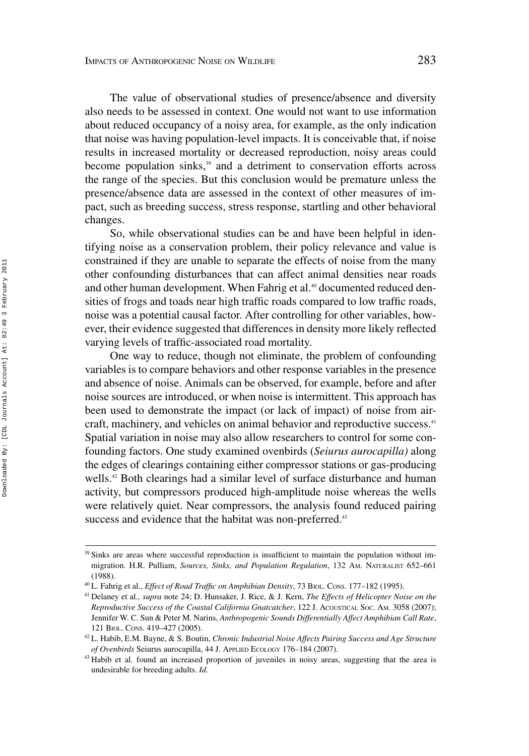The value of observational studies of presence/absence and diversity also needs to be assessed in context. One would not want to use information about reduced occupancy of a noisy area, for example, as the only indication that noise was having population-level impacts. It is conceivable that, if noise results in increased mortality or decreased reproduction, noisy areas could become population sinks,<sup>39</sup> and a detriment to conservation efforts across the range of the species. But this conclusion would be premature unless the presence/absence data are assessed in the context of other measures of impact, such as breeding success, stress response, startling and other behavioral changes.

So, while observational studies can be and have been helpful in identifying noise as a conservation problem, their policy relevance and value is constrained if they are unable to separate the effects of noise from the many other confounding disturbances that can affect animal densities near roads and other human development. When Fahrig et al.<sup>40</sup> documented reduced densities of frogs and toads near high traffic roads compared to low traffic roads, noise was a potential causal factor. After controlling for other variables, however, their evidence suggested that differences in density more likely reflected varying levels of traffic-associated road mortality.

One way to reduce, though not eliminate, the problem of confounding variables is to compare behaviors and other response variables in the presence and absence of noise. Animals can be observed, for example, before and after noise sources are introduced, or when noise is intermittent. This approach has been used to demonstrate the impact (or lack of impact) of noise from aircraft, machinery, and vehicles on animal behavior and reproductive success.<sup>41</sup> Spatial variation in noise may also allow researchers to control for some confounding factors. One study examined ovenbirds (*Seiurus aurocapilla)* along the edges of clearings containing either compressor stations or gas-producing wells.<sup>42</sup> Both clearings had a similar level of surface disturbance and human activity, but compressors produced high-amplitude noise whereas the wells were relatively quiet. Near compressors, the analysis found reduced pairing success and evidence that the habitat was non-preferred.<sup>43</sup>

<sup>&</sup>lt;sup>39</sup> Sinks are areas where successful reproduction is insufficient to maintain the population without immigration. H.R. Pulliam, *Sources, Sinks, and Population Regulation*, 132 AM. NATURALIST 652–661 (1988).

<sup>40</sup> L. Fahrig et al., *Effect of Road Traffic on Amphibian Density*, 73 BIOL. CONS. 177–182 (1995).

<sup>41</sup> Delaney et al*., supra* note 24; D. Hunsaker, J. Rice, & J. Kern, *The Effects of Helicopter Noise on the Reproductive Success of the Coastal California Gnatcatcher*, 122 J. ACOUSTICAL SOC. AM. 3058 (2007); Jennifer W. C. Sun & Peter M. Narins, *Anthropogenic Sounds Differentially Affect Amphibian Call Rate*, 121 BIOL. CONS. 419–427 (2005).

<sup>42</sup> L. Habib, E.M. Bayne, & S. Boutin, *Chronic Industrial Noise Affects Pairing Success and Age Structure of Ovenbirds* Seiurus aurocapilla, 44 J. APPLIED ECOLOGY 176–184 (2007).

<sup>&</sup>lt;sup>43</sup> Habib et al. found an increased proportion of juveniles in noisy areas, suggesting that the area is undesirable for breeding adults. *Id.*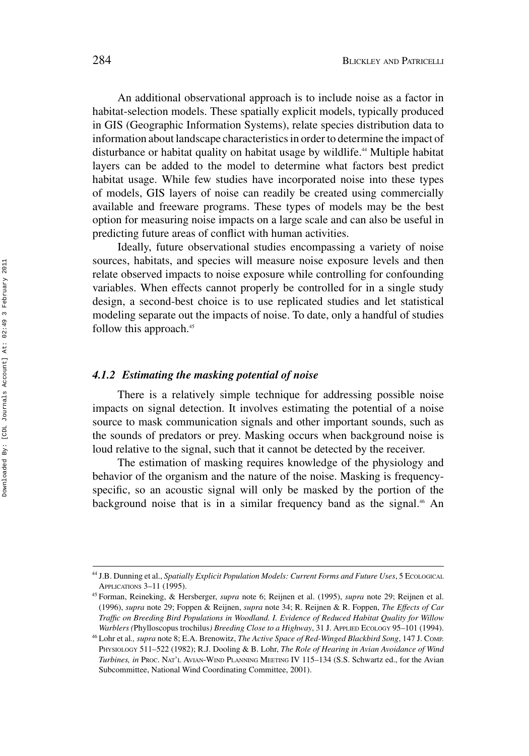An additional observational approach is to include noise as a factor in habitat-selection models. These spatially explicit models, typically produced in GIS (Geographic Information Systems), relate species distribution data to information about landscape characteristics in order to determine the impact of disturbance or habitat quality on habitat usage by wildlife.<sup>44</sup> Multiple habitat layers can be added to the model to determine what factors best predict habitat usage. While few studies have incorporated noise into these types of models, GIS layers of noise can readily be created using commercially available and freeware programs. These types of models may be the best option for measuring noise impacts on a large scale and can also be useful in predicting future areas of conflict with human activities.

Ideally, future observational studies encompassing a variety of noise sources, habitats, and species will measure noise exposure levels and then relate observed impacts to noise exposure while controlling for confounding variables. When effects cannot properly be controlled for in a single study design, a second-best choice is to use replicated studies and let statistical modeling separate out the impacts of noise. To date, only a handful of studies follow this approach.<sup>45</sup>

#### *4.1.2 Estimating the masking potential of noise*

There is a relatively simple technique for addressing possible noise impacts on signal detection. It involves estimating the potential of a noise source to mask communication signals and other important sounds, such as the sounds of predators or prey. Masking occurs when background noise is loud relative to the signal, such that it cannot be detected by the receiver.

The estimation of masking requires knowledge of the physiology and behavior of the organism and the nature of the noise. Masking is frequencyspecific, so an acoustic signal will only be masked by the portion of the background noise that is in a similar frequency band as the signal.<sup>46</sup> An

<sup>&</sup>lt;sup>44</sup> J.B. Dunning et al., *Spatially Explicit Population Models: Current Forms and Future Uses*, 5 ECOLOGICAL APPLICATIONS 3–11 (1995).

<sup>45</sup> Forman, Reineking, & Hersberger, *supra* note 6; Reijnen et al. (1995), *supra* note 29; Reijnen et al. (1996), *supra* note 29; Foppen & Reijnen, *supra* note 34; R. Reijnen & R. Foppen, *The Effects of Car Traffic on Breeding Bird Populations in Woodland. I. Evidence of Reduced Habitat Quality for Willow Warblers (*Phylloscopus trochilus*) Breeding Close to a Highway*, 31 J. APPLIED ECOLOGY 95–101 (1994).

<sup>46</sup> Lohr et al*., supra* note 8; E.A. Brenowitz, *The Active Space of Red-Winged Blackbird Song*, 147 J. COMP. PHYSIOLOGY 511–522 (1982); R.J. Dooling & B. Lohr, *The Role of Hearing in Avian Avoidance of Wind Turbines, in* PROC. NAT'L AVIAN-WIND PLANNING MEETING IV 115–134 (S.S. Schwartz ed., for the Avian Subcommittee, National Wind Coordinating Committee, 2001).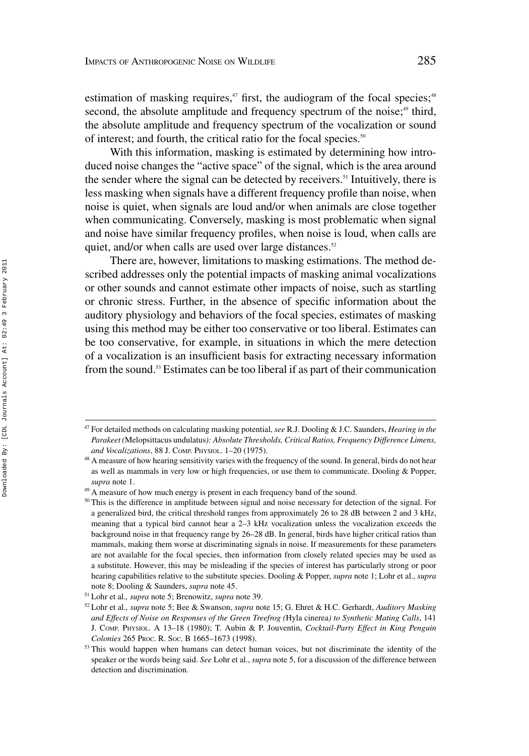estimation of masking requires, $47$  first, the audiogram of the focal species; $48$ second, the absolute amplitude and frequency spectrum of the noise;<sup>49</sup> third, the absolute amplitude and frequency spectrum of the vocalization or sound of interest; and fourth, the critical ratio for the focal species.<sup>50</sup>

With this information, masking is estimated by determining how introduced noise changes the "active space" of the signal, which is the area around the sender where the signal can be detected by receivers.<sup>51</sup> Intuitively, there is less masking when signals have a different frequency profile than noise, when noise is quiet, when signals are loud and/or when animals are close together when communicating. Conversely, masking is most problematic when signal and noise have similar frequency profiles, when noise is loud, when calls are quiet, and/or when calls are used over large distances.<sup>52</sup>

There are, however, limitations to masking estimations. The method described addresses only the potential impacts of masking animal vocalizations or other sounds and cannot estimate other impacts of noise, such as startling or chronic stress. Further, in the absence of specific information about the auditory physiology and behaviors of the focal species, estimates of masking using this method may be either too conservative or too liberal. Estimates can be too conservative, for example, in situations in which the mere detection of a vocalization is an insufficient basis for extracting necessary information from the sound.53 Estimates can be too liberal if as part of their communication

<sup>47</sup> For detailed methods on calculating masking potential, *see* R.J. Dooling & J.C. Saunders, *Hearing in the Parakeet (*Melopsittacus undulatus*): Absolute Thresholds, Critical Ratios, Frequency Difference Limens, and Vocalizations*, 88 J. COMP. PHYSIOL. 1–20 (1975).

<sup>&</sup>lt;sup>48</sup> A measure of how hearing sensitivity varies with the frequency of the sound. In general, birds do not hear as well as mammals in very low or high frequencies, or use them to communicate. Dooling & Popper, *supra* note 1.

<sup>&</sup>lt;sup>49</sup> A measure of how much energy is present in each frequency band of the sound.

<sup>&</sup>lt;sup>50</sup> This is the difference in amplitude between signal and noise necessary for detection of the signal. For a generalized bird, the critical threshold ranges from approximately 26 to 28 dB between 2 and 3 kHz, meaning that a typical bird cannot hear a 2–3 kHz vocalization unless the vocalization exceeds the background noise in that frequency range by 26–28 dB. In general, birds have higher critical ratios than mammals, making them worse at discriminating signals in noise. If measurements for these parameters are not available for the focal species, then information from closely related species may be used as a substitute. However, this may be misleading if the species of interest has particularly strong or poor hearing capabilities relative to the substitute species. Dooling & Popper, *supra* note 1; Lohr et al., *supra* note 8; Dooling & Saunders, *supra* note 45.

<sup>51</sup> Lohr et al*., supra* note 5; Brenowitz, *supra* note 39.

<sup>52</sup> Lohr et al*., supra* note 5; Bee & Swanson, *supra* note 15; G. Ehret & H.C. Gerhardt, *Auditory Masking and Effects of Noise on Responses of the Green Treefrog (*Hyla cinerea*) to Synthetic Mating Calls*, 141 J. COMP. PHYSIOL. A 13–18 (1980); T. Aubin & P. Jouventin, *Cocktail-Party Effect in King Penguin Colonies* 265 PROC. R. SOC. B 1665–1673 (1998).

<sup>&</sup>lt;sup>53</sup> This would happen when humans can detect human voices, but not discriminate the identity of the speaker or the words being said. *See* Lohr et al., *supra* note 5, for a discussion of the difference between detection and discrimination.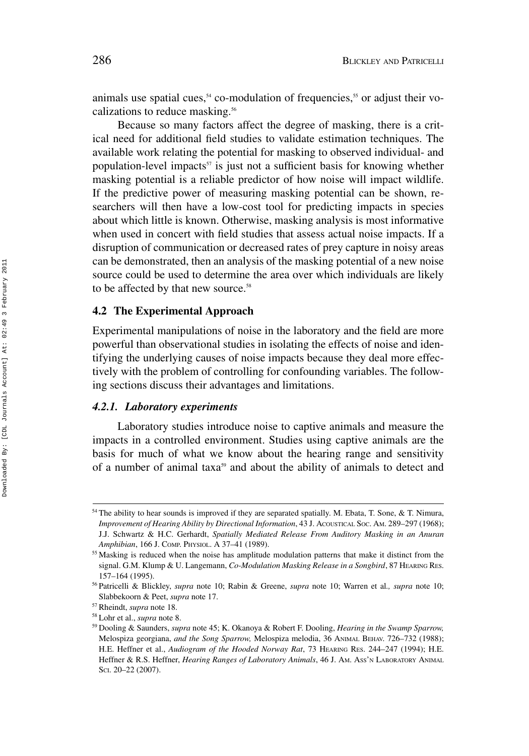animals use spatial cues,  $54$  co-modulation of frequencies,  $55$  or adjust their vocalizations to reduce masking.<sup>56</sup>

Because so many factors affect the degree of masking, there is a critical need for additional field studies to validate estimation techniques. The available work relating the potential for masking to observed individual- and population-level impacts<sup>57</sup> is just not a sufficient basis for knowing whether masking potential is a reliable predictor of how noise will impact wildlife. If the predictive power of measuring masking potential can be shown, researchers will then have a low-cost tool for predicting impacts in species about which little is known. Otherwise, masking analysis is most informative when used in concert with field studies that assess actual noise impacts. If a disruption of communication or decreased rates of prey capture in noisy areas can be demonstrated, then an analysis of the masking potential of a new noise source could be used to determine the area over which individuals are likely to be affected by that new source.<sup>58</sup>

## **4.2 The Experimental Approach**

Experimental manipulations of noise in the laboratory and the field are more powerful than observational studies in isolating the effects of noise and identifying the underlying causes of noise impacts because they deal more effectively with the problem of controlling for confounding variables. The following sections discuss their advantages and limitations.

#### *4.2.1. Laboratory experiments*

Laboratory studies introduce noise to captive animals and measure the impacts in a controlled environment. Studies using captive animals are the basis for much of what we know about the hearing range and sensitivity of a number of animal taxa<sup>59</sup> and about the ability of animals to detect and

<sup>&</sup>lt;sup>54</sup> The ability to hear sounds is improved if they are separated spatially. M. Ebata, T. Sone, & T. Nimura, *Improvement of Hearing Ability by Directional Information*, 43 J. ACOUSTICAL SOC. AM. 289–297 (1968); J.J. Schwartz & H.C. Gerhardt, *Spatially Mediated Release From Auditory Masking in an Anuran Amphibian*, 166 J. COMP. PHYSIOL. A 37–41 (1989).

<sup>&</sup>lt;sup>55</sup> Masking is reduced when the noise has amplitude modulation patterns that make it distinct from the signal. G.M. Klump & U. Langemann, *Co-Modulation Masking Release in a Songbird*, 87 HEARING RES. 157–164 (1995).

<sup>56</sup> Patricelli & Blickley, *supra* note 10; Rabin & Greene, *supra* note 10; Warren et al*., supra* note 10; Slabbekoorn & Peet, *supra* note 17.

<sup>57</sup> Rheindt, *supra* note 18.

<sup>58</sup> Lohr et al., *supra* note 8.

<sup>59</sup> Dooling & Saunders, *supra* note 45; K. Okanoya & Robert F. Dooling, *Hearing in the Swamp Sparrow,* Melospiza georgiana, *and the Song Sparrow,* Melospiza melodia, 36 ANIMAL BEHAV. 726–732 (1988); H.E. Heffner et al., *Audiogram of the Hooded Norway Rat*, 73 HEARING RES. 244–247 (1994); H.E. Heffner & R.S. Heffner, *Hearing Ranges of Laboratory Animals*, 46 J. AM. ASS'N LABORATORY ANIMAL SCI. 20–22 (2007).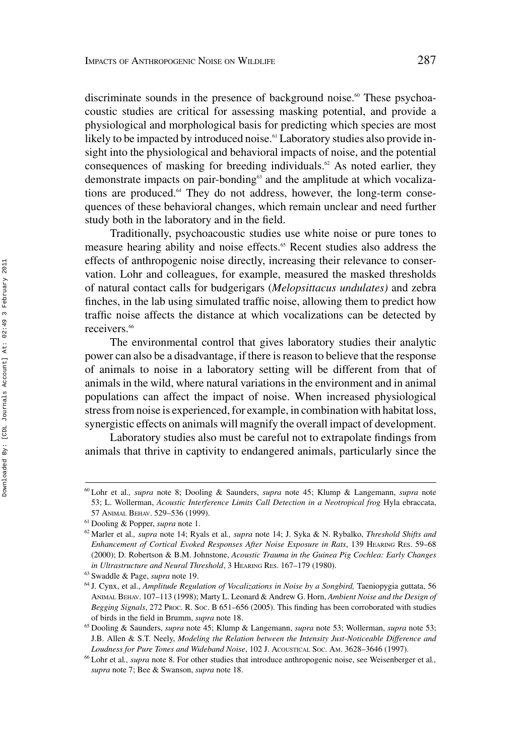discriminate sounds in the presence of background noise.<sup>60</sup> These psychoacoustic studies are critical for assessing masking potential, and provide a physiological and morphological basis for predicting which species are most likely to be impacted by introduced noise.<sup>61</sup> Laboratory studies also provide insight into the physiological and behavioral impacts of noise, and the potential consequences of masking for breeding individuals.<sup>62</sup> As noted earlier, they demonstrate impacts on pair-bonding<sup>63</sup> and the amplitude at which vocalizations are produced.64 They do not address, however, the long-term consequences of these behavioral changes, which remain unclear and need further study both in the laboratory and in the field.

Traditionally, psychoacoustic studies use white noise or pure tones to measure hearing ability and noise effects.<sup>65</sup> Recent studies also address the effects of anthropogenic noise directly, increasing their relevance to conservation. Lohr and colleagues, for example, measured the masked thresholds of natural contact calls for budgerigars (*Melopsittacus undulates)* and zebra finches, in the lab using simulated traffic noise, allowing them to predict how traffic noise affects the distance at which vocalizations can be detected by receivers<sup>66</sup>

The environmental control that gives laboratory studies their analytic power can also be a disadvantage, if there is reason to believe that the response of animals to noise in a laboratory setting will be different from that of animals in the wild, where natural variations in the environment and in animal populations can affect the impact of noise. When increased physiological stress from noise is experienced, for example, in combination with habitat loss, synergistic effects on animals will magnify the overall impact of development.

Laboratory studies also must be careful not to extrapolate findings from animals that thrive in captivity to endangered animals, particularly since the

<sup>60</sup> Lohr et al*., supra* note 8; Dooling & Saunders, *supra* note 45; Klump & Langemann, *supra* note 53; L. Wollerman, *Acoustic Interference Limits Call Detection in a Neotropical frog* Hyla ebraccata, 57 ANIMAL BEHAV. 529–536 (1999).

<sup>61</sup> Dooling & Popper, *supra* note 1.

<sup>62</sup> Marler et al*., supra* note 14; Ryals et al*., supra* note 14; J. Syka & N. Rybalko, *Threshold Shifts and Enhancement of Cortical Evoked Responses After Noise Exposure in Rats*, 139 HEARING RES. 59–68 (2000); D. Robertson & B.M. Johnstone, *Acoustic Trauma in the Guinea Pig Cochlea: Early Changes in Ultrastructure and Neural Threshold*,3HEARING RES. 167–179 (1980).

<sup>63</sup> Swaddle & Page, *supra* note 19.

<sup>64</sup> J. Cynx, et al., *Amplitude Regulation of Vocalizations in Noise by a Songbird,* Taeniopygia guttata, 56 ANIMAL BEHAV. 107–113 (1998); Marty L. Leonard & Andrew G. Horn, *Ambient Noise and the Design of Begging Signals*, 272 Proc. R. Soc. B 651–656 (2005). This finding has been corroborated with studies of birds in the field in Brumm, *supra* note 18.

<sup>65</sup> Dooling & Saunders, *supra* note 45; Klump & Langemann, *supra* note 53; Wollerman, *supra* note 53; J.B. Allen & S.T. Neely, *Modeling the Relation between the Intensity Just-Noticeable Difference and Loudness for Pure Tones and Wideband Noise*, 102 J. ACOUSTICAL SOC. AM. 3628–3646 (1997).

<sup>66</sup> Lohr et al*., supra* note 8. For other studies that introduce anthropogenic noise, see Weisenberger et al*., supra* note 7; Bee & Swanson, *supra* note 18.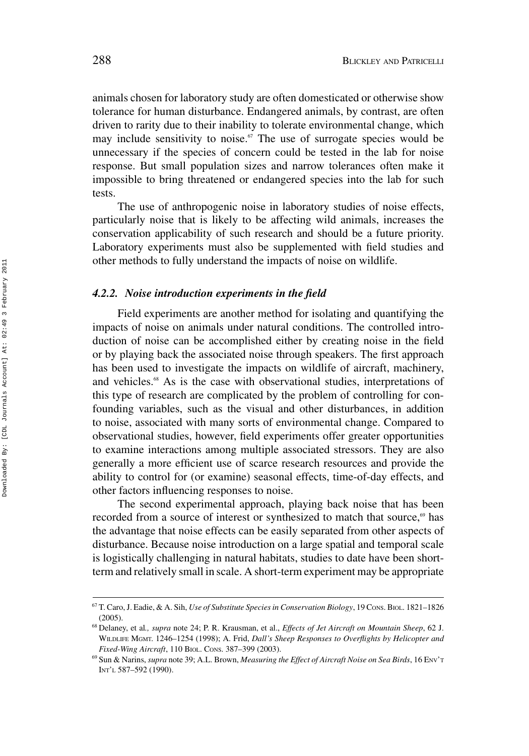animals chosen for laboratory study are often domesticated or otherwise show tolerance for human disturbance. Endangered animals, by contrast, are often driven to rarity due to their inability to tolerate environmental change, which may include sensitivity to noise.<sup> $\sigma$ </sup> The use of surrogate species would be unnecessary if the species of concern could be tested in the lab for noise response. But small population sizes and narrow tolerances often make it impossible to bring threatened or endangered species into the lab for such tests.

The use of anthropogenic noise in laboratory studies of noise effects, particularly noise that is likely to be affecting wild animals, increases the conservation applicability of such research and should be a future priority. Laboratory experiments must also be supplemented with field studies and other methods to fully understand the impacts of noise on wildlife.

### *4.2.2. Noise introduction experiments in the field*

Field experiments are another method for isolating and quantifying the impacts of noise on animals under natural conditions. The controlled introduction of noise can be accomplished either by creating noise in the field or by playing back the associated noise through speakers. The first approach has been used to investigate the impacts on wildlife of aircraft, machinery, and vehicles.<sup>68</sup> As is the case with observational studies, interpretations of this type of research are complicated by the problem of controlling for confounding variables, such as the visual and other disturbances, in addition to noise, associated with many sorts of environmental change. Compared to observational studies, however, field experiments offer greater opportunities to examine interactions among multiple associated stressors. They are also generally a more efficient use of scarce research resources and provide the ability to control for (or examine) seasonal effects, time-of-day effects, and other factors influencing responses to noise.

The second experimental approach, playing back noise that has been recorded from a source of interest or synthesized to match that source,<sup>69</sup> has the advantage that noise effects can be easily separated from other aspects of disturbance. Because noise introduction on a large spatial and temporal scale is logistically challenging in natural habitats, studies to date have been shortterm and relatively small in scale. A short-term experiment may be appropriate

<sup>67</sup> T. Caro, J. Eadie, & A. Sih, *Use of Substitute Species in Conservation Biology*, 19 CONS. BIOL. 1821–1826 (2005).

<sup>68</sup> Delaney, et al*., supra* note 24; P. R. Krausman, et al., *Effects of Jet Aircraft on Mountain Sheep*, 62 J. WILDLIFE MGMT. 1246–1254 (1998); A. Frid, *Dall's Sheep Responses to Overflights by Helicopter and Fixed-Wing Aircraft*, 110 BIOL. CONS. 387–399 (2003).

<sup>69</sup> Sun & Narins, *supra* note 39; A.L. Brown, *Measuring the Effect of Aircraft Noise on Sea Birds*, 16 ENV'T INT'L 587–592 (1990).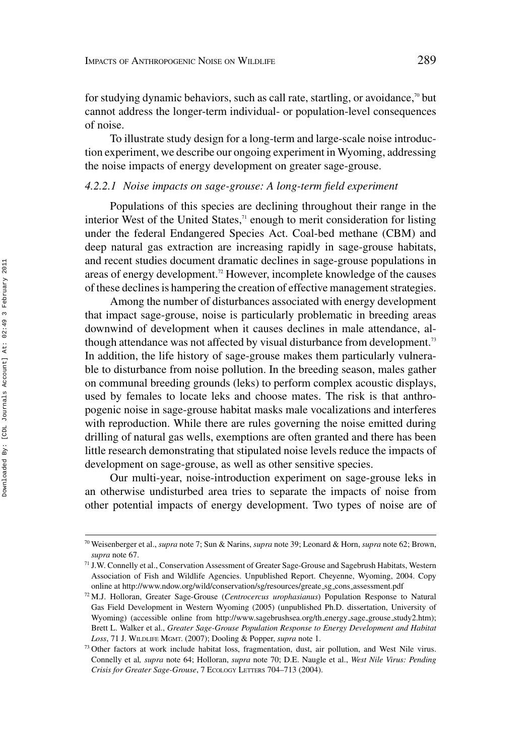for studying dynamic behaviors, such as call rate, startling, or avoidance, $\sqrt[n]{\ }$  but cannot address the longer-term individual- or population-level consequences of noise.

To illustrate study design for a long-term and large-scale noise introduction experiment, we describe our ongoing experiment in Wyoming, addressing the noise impacts of energy development on greater sage-grouse.

#### *4.2.2.1 Noise impacts on sage-grouse: A long-term field experiment*

Populations of this species are declining throughout their range in the interior West of the United States, $\pi$  enough to merit consideration for listing under the federal Endangered Species Act. Coal-bed methane (CBM) and deep natural gas extraction are increasing rapidly in sage-grouse habitats, and recent studies document dramatic declines in sage-grouse populations in areas of energy development.<sup>72</sup> However, incomplete knowledge of the causes of these declines is hampering the creation of effective management strategies.

Among the number of disturbances associated with energy development that impact sage-grouse, noise is particularly problematic in breeding areas downwind of development when it causes declines in male attendance, although attendance was not affected by visual disturbance from development.<sup>73</sup> In addition, the life history of sage-grouse makes them particularly vulnerable to disturbance from noise pollution. In the breeding season, males gather on communal breeding grounds (leks) to perform complex acoustic displays, used by females to locate leks and choose mates. The risk is that anthropogenic noise in sage-grouse habitat masks male vocalizations and interferes with reproduction. While there are rules governing the noise emitted during drilling of natural gas wells, exemptions are often granted and there has been little research demonstrating that stipulated noise levels reduce the impacts of development on sage-grouse, as well as other sensitive species.

Our multi-year, noise-introduction experiment on sage-grouse leks in an otherwise undisturbed area tries to separate the impacts of noise from other potential impacts of energy development. Two types of noise are of

<sup>70</sup> Weisenberger et al., *supra* note 7; Sun & Narins, *supra* note 39; Leonard & Horn, *supra* note 62; Brown, *supra* note 67.

<sup>71</sup> J.W. Connelly et al., Conservation Assessment of Greater Sage-Grouse and Sagebrush Habitats, Western Association of Fish and Wildlife Agencies. Unpublished Report. Cheyenne, Wyoming, 2004. Copy online at http://www.ndow.org/wild/conservation/sg/resources/greate sg cons assessment.pdf

<sup>72</sup> M.J. Holloran, Greater Sage-Grouse (*Centrocercus urophasianus*) Population Response to Natural Gas Field Development in Western Wyoming (2005) (unpublished Ph.D. dissertation, University of Wyoming) (accessible online from http://www.sagebrushsea.org/th\_energy\_sage\_grouse\_study2.htm); Brett L. Walker et al., *Greater Sage-Grouse Population Response to Energy Development and Habitat Loss*, 71 J. WILDLIFE MGMT. (2007); Dooling & Popper, *supra* note 1.

<sup>73</sup> Other factors at work include habitat loss, fragmentation, dust, air pollution, and West Nile virus. Connelly et al*, supra* note 64; Holloran, *supra* note 70; D.E. Naugle et al., *West Nile Virus: Pending Crisis for Greater Sage-Grouse*,7ECOLOGY LETTERS 704–713 (2004).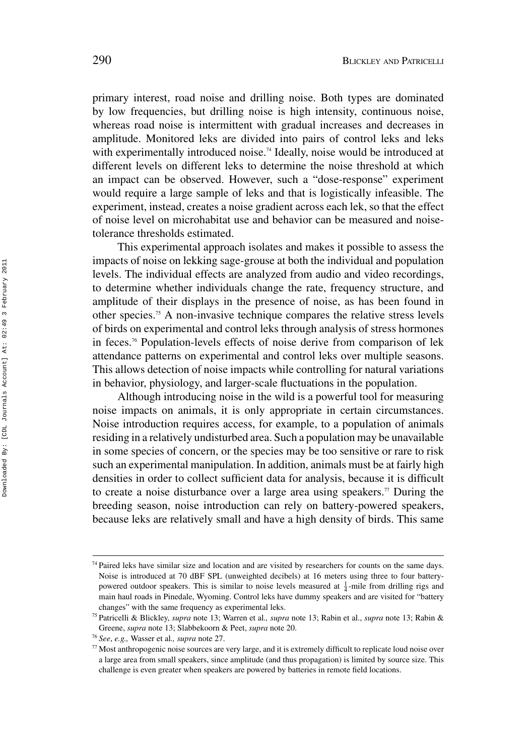primary interest, road noise and drilling noise. Both types are dominated by low frequencies, but drilling noise is high intensity, continuous noise, whereas road noise is intermittent with gradual increases and decreases in amplitude. Monitored leks are divided into pairs of control leks and leks with experimentally introduced noise.<sup>74</sup> Ideally, noise would be introduced at different levels on different leks to determine the noise threshold at which an impact can be observed. However, such a "dose-response" experiment would require a large sample of leks and that is logistically infeasible. The experiment, instead, creates a noise gradient across each lek, so that the effect of noise level on microhabitat use and behavior can be measured and noisetolerance thresholds estimated.

This experimental approach isolates and makes it possible to assess the impacts of noise on lekking sage-grouse at both the individual and population levels. The individual effects are analyzed from audio and video recordings, to determine whether individuals change the rate, frequency structure, and amplitude of their displays in the presence of noise, as has been found in other species.75 A non-invasive technique compares the relative stress levels of birds on experimental and control leks through analysis of stress hormones in feces.76 Population-levels effects of noise derive from comparison of lek attendance patterns on experimental and control leks over multiple seasons. This allows detection of noise impacts while controlling for natural variations in behavior, physiology, and larger-scale fluctuations in the population.

Although introducing noise in the wild is a powerful tool for measuring noise impacts on animals, it is only appropriate in certain circumstances. Noise introduction requires access, for example, to a population of animals residing in a relatively undisturbed area. Such a population may be unavailable in some species of concern, or the species may be too sensitive or rare to risk such an experimental manipulation. In addition, animals must be at fairly high densities in order to collect sufficient data for analysis, because it is difficult to create a noise disturbance over a large area using speakers.<sup>77</sup> During the breeding season, noise introduction can rely on battery-powered speakers, because leks are relatively small and have a high density of birds. This same

 $74$  Paired leks have similar size and location and are visited by researchers for counts on the same days. Noise is introduced at 70 dBF SPL (unweighted decibels) at 16 meters using three to four batterypowered outdoor speakers. This is similar to noise levels measured at  $\frac{1}{4}$ -mile from drilling rigs and main haul roads in Pinedale, Wyoming. Control leks have dummy speakers and are visited for "battery changes" with the same frequency as experimental leks.

<sup>75</sup> Patricelli & Blickley, *supra* note 13; Warren et al*., supra* note 13; Rabin et al., *supra* note 13; Rabin & Greene, *supra* note 13; Slabbekoorn & Peet, *supra* note 20.

<sup>76</sup> *See*, *e.g.,* Wasser et al*., supra* note 27.

<sup>77</sup> Most anthropogenic noise sources are very large, and it is extremely difficult to replicate loud noise over a large area from small speakers, since amplitude (and thus propagation) is limited by source size. This challenge is even greater when speakers are powered by batteries in remote field locations.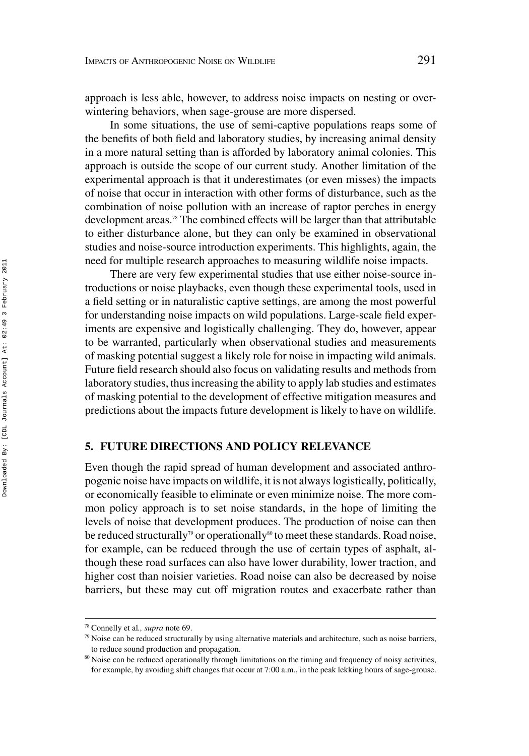approach is less able, however, to address noise impacts on nesting or overwintering behaviors, when sage-grouse are more dispersed.

In some situations, the use of semi-captive populations reaps some of the benefits of both field and laboratory studies, by increasing animal density in a more natural setting than is afforded by laboratory animal colonies. This approach is outside the scope of our current study. Another limitation of the experimental approach is that it underestimates (or even misses) the impacts of noise that occur in interaction with other forms of disturbance, such as the combination of noise pollution with an increase of raptor perches in energy development areas.<sup>78</sup> The combined effects will be larger than that attributable to either disturbance alone, but they can only be examined in observational studies and noise-source introduction experiments. This highlights, again, the need for multiple research approaches to measuring wildlife noise impacts.

There are very few experimental studies that use either noise-source introductions or noise playbacks, even though these experimental tools, used in a field setting or in naturalistic captive settings, are among the most powerful for understanding noise impacts on wild populations. Large-scale field experiments are expensive and logistically challenging. They do, however, appear to be warranted, particularly when observational studies and measurements of masking potential suggest a likely role for noise in impacting wild animals. Future field research should also focus on validating results and methods from laboratory studies, thus increasing the ability to apply lab studies and estimates of masking potential to the development of effective mitigation measures and predictions about the impacts future development is likely to have on wildlife.

# **5. FUTURE DIRECTIONS AND POLICY RELEVANCE**

Even though the rapid spread of human development and associated anthropogenic noise have impacts on wildlife, it is not always logistically, politically, or economically feasible to eliminate or even minimize noise. The more common policy approach is to set noise standards, in the hope of limiting the levels of noise that development produces. The production of noise can then be reduced structurally<sup>79</sup> or operationally<sup>80</sup> to meet these standards. Road noise, for example, can be reduced through the use of certain types of asphalt, although these road surfaces can also have lower durability, lower traction, and higher cost than noisier varieties. Road noise can also be decreased by noise barriers, but these may cut off migration routes and exacerbate rather than

<sup>78</sup> Connelly et al*., supra* note 69.

 $79$  Noise can be reduced structurally by using alternative materials and architecture, such as noise barriers, to reduce sound production and propagation.

<sup>&</sup>lt;sup>80</sup> Noise can be reduced operationally through limitations on the timing and frequency of noisy activities, for example, by avoiding shift changes that occur at 7:00 a.m., in the peak lekking hours of sage-grouse.